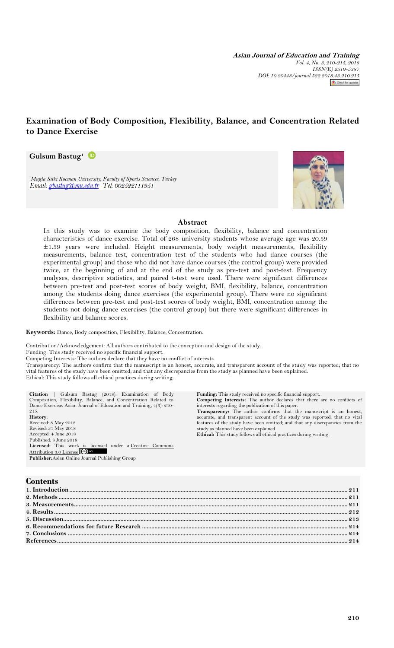**Asian Journal of Education and Training** *Vol. 4, No. 3, 210-215, 2018 ISSN(E) 2519-5387 DOI: 10.20448/journal.522.2018.43.210.215* Check for updates

# **Examination of Body Composition, Flexibility, Balance, and Concentration Related to Dance Exercise**

**Gulsum Bastug<sup>1</sup>**

*<sup>1</sup>Mugla Sitki Kocman University, Faculty of Sports Sciences, Turkey*



## **Abstract**

In this study was to examine the body composition, flexibility, balance and concentration characteristics of dance exercise. Total of 268 university students whose average age was 20.59 ±1.59 years were included. Height measurements, body weight measurements, flexibility measurements, balance test, concentration test of the students who had dance courses (the experimental group) and those who did not have dance courses (the control group) were provided twice, at the beginning of and at the end of the study as pre-test and post-test. Frequency analyses, descriptive statistics, and paired t-test were used. There were significant differences between pre-test and post-test scores of body weight, BMI, flexibility, balance, concentration among the students doing dance exercises (the experimental group). There were no significant differences between pre-test and post-test scores of body weight, BMI, concentration among the students not doing dance exercises (the control group) but there were significant differences in flexibility and balance scores.

**Keywords:** Dance, Body composition, Flexibility, Balance, Concentration.

Contribution/Acknowledgement: All authors contributed to the conception and design of the study.

Funding: This study received no specific financial support.

Competing Interests: The authors declare that they have no conflict of interests.

Transparency: The authors confirm that the manuscript is an honest, accurate, and transparent account of the study was reported; that no vital features of the study have been omitted; and that any discrepancies from the study as planned have been explained. Ethical: This study follows all ethical practices during writing.

| <b>Citation</b><br>Gulsum Bastug (2018). Examination of Body        | <b>Funding:</b> This study received no specific financial support.           |
|---------------------------------------------------------------------|------------------------------------------------------------------------------|
| Composition, Flexibility, Balance, and Concentration Related to     | Competing Interests: The author declares that there are no conflicts of      |
| Dance Exercise. Asian Journal of Education and Training, 4(3): 210- | interests regarding the publication of this paper.                           |
| 215.                                                                | <b>Transparency:</b> The author confirms that the manuscript is an honest,   |
| History:                                                            | accurate, and transparent account of the study was reported; that no vital   |
| Received: 8 May 2018                                                | features of the study have been omitted; and that any discrepancies from the |
| Revised: 31 May 2018                                                | study as planned have been explained.                                        |
| Accepted: 4 June 2018                                               | <b>Ethical:</b> This study follows all ethical practices during writing.     |
| Published: 8 June 2018                                              |                                                                              |
| Licensed: This work is licensed under a Creative Commons            |                                                                              |
| Attribution 3.0 License (cc) BY                                     |                                                                              |
| <b>Publisher:</b> Asian Online Journal Publishing Group             |                                                                              |
|                                                                     |                                                                              |

# **Contents**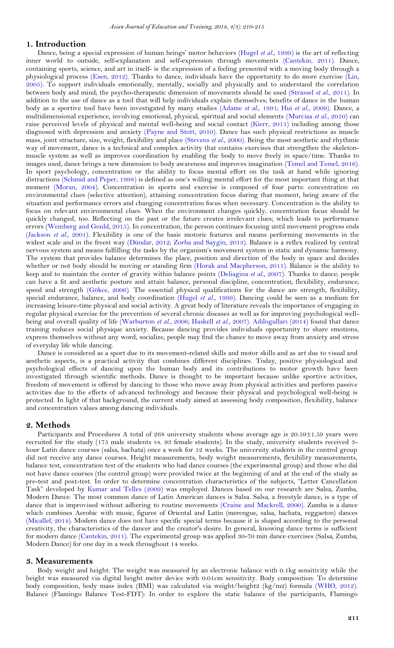### <span id="page-1-0"></span>**1. Introduction**

Dance, being a special expression of human beings' motor behaviors [\(Hugel](#page-5-0) *et al.*, 1999) is the art of reflecting inner world to outside, self-explanation and self-expression through movements [\(Cantekin, 2011\)](#page-4-3). Dance, containing sports, science, and art in itself- is the expression of a feeling presented with a moving body through a physiological process [\(Esen, 2012\)](#page-4-4). Thanks to dance, individuals have the opportunity to do more exercise [\(Lin,](#page-5-1)  [2005\)](#page-5-1). To support individuals emotionally, mentally, socially and physically and to understand the correlation between body and mind; the psycho-therapeutic dimension of movements should be used [\(Strassel](#page-5-2) *et al.*, 2011). In addition to the use of dance as a tool that will help individuals explain themselves; benefits of dance in the human body as a sportive tool have been investigated by many studies [\(Adame](#page-4-5) *et al.*, 1991; Hui *et al.*[, 2009\)](#page-5-3). Dance, a multidimensional experience, involving emotional, physical, spiritual and social elements [\(Murciaa](#page-5-4) *et al.*, 2010) can raise perceived levels of physical and mental well-being and social contact [\(Kierr, 2011\)](#page-5-5) including among those diagnosed with depression and anxiety [\(Payne and Stott, 2010\)](#page-5-6). Dance has such physical restrictions as muscle mass, joint structure, size, weight, flexibility and place [\(Stevens](#page-5-7) *et al.*, 2000). Being the most aesthetic and rhythmic way of movement, dance is a technical and complex activity that contains exercises that strengthen the skeletonmuscle system as well as improves coordination by enabling the body to move freely in space/time. Thanks to images used, dance brings a new dimension to body awareness and improves imagination [\(Temel and Temel, 2016\)](#page-5-8). In sport psychology, concentration or the ability to focus mental effort on the task at hand while ignoring distractions [\(Schmid and Peper, 1998\)](#page-5-9) is defined as one's willing mental effort for the most important thing at that moment [\(Moran, 2004\)](#page-5-10). Concentration in sports and exercise is composed of four parts: concentration on environmental clues (selective attention), attaining concentration focus during that moment, being aware of the situation and performance errors and changing concentration focus when necessary. Concentration is the ability to focus on relevant environmental clues. When the environment changes quickly, concentration focus should be quickly changed, too. Reflecting on the past or the future creates irrelevant clues; which leads to performance errors [\(Weinberg and Gould, 2015\)](#page-5-11). In concentration, the person continues focusing until movement progress ends [\(Jackson](#page-5-12) *et al.*, 2001). Flexibility is one of the basic motoric features and means performing movements in the widest scale and in the freest way [\(Dündar, 2012;](#page-4-6) [Zorba and Saygin, 2013\)](#page-5-13). Balance is a reflex realized by central nervous system and means fulfilling the tasks by the organism's movement system in static and dynamic harmony. The system that provides balance determines the place, position and direction of the body in space and decides whether or not body should be moving or standing firm [\(Horak and Macpherson, 2011\)](#page-5-14). Balance is the ability to keep and to maintain the center of gravity within balance points [\(Deliagina](#page-4-7) *et al.*, 2007). Thanks to dance; people can have a fit and aesthetic posture and attain balance, personal discipline, concentration, flexibility, endurance, speed and strength [\(Gökce, 2006\)](#page-4-8). The essential physical qualifications for the dance are strength, flexibility, special endurance, balance, and body coordination (Hugel *et al.*[, 1999\)](#page-5-0). Dancing could be seen as a medium for increasing leisure-time physical and social activity. A great body of literature reveals the importance of engaging in regular physical exercise for the prevention of several chronic diseases as well as for improving psychological wellbeing and overall quality of life [\(Warburton](#page-5-15) *et al.*, 2006; [Haskell](#page-5-16) *et al.*, 2007). Adı[logullar](#page-4-9)ı (2014) found that dance training reduces social physique anxiety. Because dancing provides individuals opportunity to share emotions, express themselves without any word, socialize, people may find the chance to move away from anxiety and stress of everyday life while dancing.

Dance is considered as a sport due to its movement-related skills and motor skills and as art due to visual and aesthetic aspects, is a practical activity that combines different disciplines. Today, positive physiological and psychological effects of dancing upon the human body and its contributions to motor growth have been investigated through scientific methods. Dance is thought to be important because unlike sportive activities, freedom of movement is offered by dancing to those who move away from physical activities and perform passive activities due to the effects of advanced technology and because their physical and psychological well-being is protected. In light of that background, the current study aimed at assessing body composition, flexibility, balance and concentration values among dancing individuals.

### <span id="page-1-1"></span>**2. Methods**

Participants and Procedures A total of 268 university students whose average age is 20.59±1.59 years were recruited for the study (175 male students vs. 93 female students). In the study, university students received 3 hour Latin dance courses (salsa, bachata) once a week for 12 weeks. The university students in the control group did not receive any dance courses. Height measurements, body weight measurements, flexibility measurements, balance test, concentration test of the students who had dance courses (the experimental group) and those who did not have dance courses (the control group) were provided twice at the beginning of and at the end of the study as pre-test and post-test. In order to determine concentration characteristics of the subjects, "Letter Cancellation Task" developed by [Kumar and Telles \(2009\)](#page-5-17) was employed. Dances based on our research are Salsa, Zumba, Modern Dance. The most common dance of Latin American dances is Salsa. Salsa, a freestyle dance, is a type of dance that is improvised without adhering to routine movements [\(Craine and Mackrell, 2000\)](#page-4-10). Zumba is a dance which combines Aerobic with music, figures of Oriental and Latin (merengue, salsa, bachata, reggaeton) dances [\(Micallef, 2014\)](#page-5-18). Modern dance does not have specific special terms because it is shaped according to the personal creativity, the characteristics of the dancer and the creator's desire. In general, knowing dance terms is sufficient for modern dance [\(Cantekin, 2011\)](#page-4-3). The experimental group was applied 30-70 min dance exercises (Salsa, Zumba, Modern Dance) for one day in a week throughout 14 weeks.

### <span id="page-1-2"></span>**3. Measurements**

Body weight and height: The weight was measured by an electronic balance with 0.1kg sensitivity while the height was measured via digital height meter device with 0.01cm sensitivity. Body composition: To determine body composition, body mass index (BMI) was calculated via weight/height2 (kg/m2) formula [\(WHO, 2012\)](#page-5-19). Balance (Flamingo Balance Test-FDT): In order to explore the static balance of the participants, Flamingo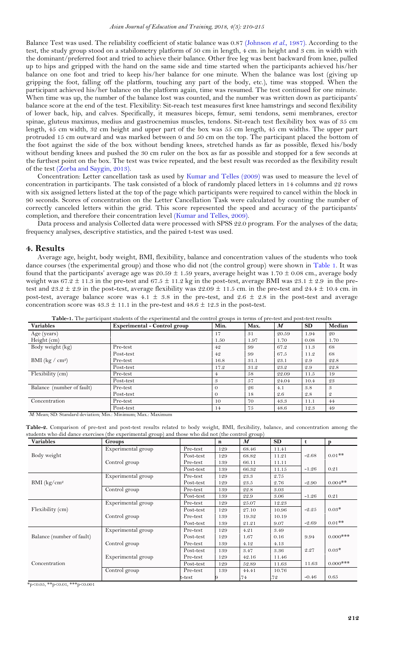Balance Test was used. The reliability coefficient of static balance was 0.87 [\(Johnson](#page-5-20) *et al.*, 1987). According to the test, the study group stood on a stabilometry platform of 50 cm in length, 4 cm. in height and 3 cm. in width with the dominant/preferred foot and tried to achieve their balance. Other free leg was bent backward from knee, pulled up to hips and gripped with the hand on the same side and time started when the participants achieved his/her balance on one foot and tried to keep his/her balance for one minute. When the balance was lost (giving up gripping the foot, falling off the platform, touching any part of the body, etc.), time was stopped. When the participant achieved his/her balance on the platform again, time was resumed. The test continued for one minute. When time was up, the number of the balance lost was counted, and the number was written down as participants' balance score at the end of the test. Flexibility: Sit-reach test measures first knee hamstrings and second flexibility of lower back, hip, and calves. Specifically, it measures biceps, femur, semi tendons, semi membranes, erector spinae, gluteus maximus, medius and gastrocnemius muscles, tendons. Sit-reach test flexibility box was of 35 cm length, 45 cm width, 32 cm height and upper part of the box was 55 cm length, 45 cm widths. The upper part protruded 15 cm outward and was marked between 0 and 50 cm on the top. The participant placed the bottom of the foot against the side of the box without bending knees, stretched hands as far as possible, flexed his/body without bending knees and pushed the 30 cm ruler on the box as far as possible and stopped for a few seconds at the furthest point on the box. The test was twice repeated, and the best result was recorded as the flexibility result of the test [\(Zorba and Saygin, 2013\)](#page-5-13).

Concentration: Letter cancellation task as used by [Kumar and Telles \(2009\)](#page-5-17) was used to measure the level of concentration in participants. The task consisted of a block of randomly placed letters in 14 columns and 22 rows with six assigned letters listed at the top of the page which participants were required to cancel within the block in 90 seconds. Scores of concentration on the Letter Cancellation Task were calculated by counting the number of correctly canceled letters within the grid. This score represented the speed and accuracy of the participants' completion, and therefore their concentration level [\(Kumar and Telles, 2009\)](#page-5-17).

Data process and analysis Collected data were processed with SPSS 22.0 program. For the analyses of the data; frequency analyses, descriptive statistics, and the paired t-test was used.

# <span id="page-2-0"></span>**4. Results**

Average age, height, body weight, BMI, flexibility, balance and concentration values of the students who took dance courses (the experimental group) and those who did not (the control group) were shown in [Table 1.](#page-2-1) It was found that the participants' average age was  $20.59 \pm 1.59$  years, average height was  $1.70 \pm 0.08$  cm., average body weight was 67.2  $\pm$  11.3 in the pre-test and 67.5  $\pm$  11.2 kg in the post-test, average BMI was 23.1  $\pm$  2.9 in the pretest and  $23.2 \pm 2.9$  in the post-test, average flexibility was  $22.09 \pm 11.5$  cm. in the pre-test and  $24.4 \pm 10.4$  cm. in post-test, average balance score was 4.1  $\pm$  3.8 in the pre-test, and 2.6  $\pm$  2.8 in the post-test and average concentration score was  $43.3 \pm 11.1$  in the pre-test and  $48.6 \pm 12.3$  in the post-test.

| <b>Variables</b>                      | <b>Experimental - Control group</b> | Min.     | Max. | $\boldsymbol{M}$ | <b>SD</b> | Median         |
|---------------------------------------|-------------------------------------|----------|------|------------------|-----------|----------------|
| $Age$ (years)                         |                                     | 17       | 31   | 20.59            | 1.94      | 20             |
| Height (cm)                           |                                     | 1.50     | 1.97 | 1.70             | 0.08      | 1.70           |
| Body weight (kg)                      | Pre-test                            | 42       | 99   | 67.2             | 11.3      | 68             |
|                                       | Post-test                           | 42       | 99   | 67.5             | 11.2      | 68             |
| BMI ( $\text{kg}$ / cm <sup>2</sup> ) | Pre-test                            | 16.8     | 31.1 | 23.1             | 2.9       | 22.8           |
|                                       | Post-test                           | 17.2     | 31.2 | 23.2             | 2.9       | 22.8           |
| Flexibility (cm)                      | Pre-test                            | 4        | 58   | 22.09            | 11.5      | 19             |
|                                       | Post-test                           | 3        | 57   | 24.04            | 10.4      | 23             |
| Balance (number of fault)             | Pre-test                            | $\theta$ | 26   | 4.1              | 3.8       | 3              |
|                                       | Post-test                           | $\Omega$ | 18   | 2.6              | 2.8       | $\mathfrak{D}$ |
| Concentration                         | Pre-test                            | 10       | 70   | 43.3             | 11.1      | 44             |
|                                       | Post-test                           | 14       | 75   | 48.6             | 12.3      | 49             |

<span id="page-2-1"></span>**Table-1.** The participant students of the experimental and the control groups in terms of pre-test and post-test results

*M*: Mean; SD: Standard deviation; Min.: Minimum; Max.: Maximum

<span id="page-2-2"></span>**Table-2.** Comparison of pre-test and post-test results related to body weight, BMI, flexibility, balance, and concentration among the students who did dance exercises (the experimental group) and those who did not (the control group)

| <b>Variables</b>          | Groups             |           | n   | $\boldsymbol{M}$ | <b>SD</b> | $\mathbf{t}$ | p           |
|---------------------------|--------------------|-----------|-----|------------------|-----------|--------------|-------------|
|                           | Experimental group | Pre-test  | 129 | 68.46            | 11.41     |              |             |
| Body weight               |                    | Post-test | 129 | 68.82            | 11.21     | $-2.68$      | $0.01$ **   |
|                           | Control group      | Pre-test  | 139 | 66.11            | 11.11     |              |             |
|                           |                    | Post-test | 139 | 66.32            | 11.15     | $-1.26$      | 0.21        |
|                           | Experimental group | Pre-test  | 129 | 23.3             | 2.75      |              |             |
| BMI ( $\text{kg/cm}^2$    |                    | Post-test | 129 | 23.5             | 2.76      | $-2.90$      | $0.004$ **  |
|                           | Control group      | Pre-test  | 139 | 22.8             | 3.03      |              |             |
|                           |                    | Post-test | 139 | 22.9             | 3.06      | $-1.26$      | 0.21        |
|                           | Experimental group | Pre-test  | 129 | 25.07            | 12.23     |              |             |
| Flexibility (cm)          |                    | Post-test | 129 | 27.10            | 10.96     | $-2.25$      | $0.03*$     |
|                           | Control group      | Pre-test  | 139 | 19.32            | 10.19     |              |             |
|                           |                    | Post-test | 139 | 21.21            | 9.07      | $-2.69$      | $0.01$ **   |
|                           | Experimental group | Pre-test  | 129 | 4.21             | 3.49      |              |             |
| Balance (number of fault) |                    | Post-test | 129 | 1.67             | 0.16      | 9.94         | $0.000$ *** |
|                           | Control group      | Pre-test  | 139 | 4.12             | 4.13      |              |             |
|                           |                    | Post-test | 139 | 3.47             | 3.36      | 2.27         | $0.03*$     |
|                           | Experimental group | Pre-test  | 129 | 42.16            | 11.46     |              |             |
| Concentration             |                    | Post-test | 129 | 52.89            | 11.63     | 11.63        | $0.000$ *** |
|                           | Control group      | Pre-test  | 139 | 44.41            | 10.76     |              |             |
|                           |                    | t-test    |     | .74              | .72       | $-0.46$      | 0.65        |

 $*_{p<0.05}$ ,  $*_{p<0.01}$ ,  $*_{p<0.001}$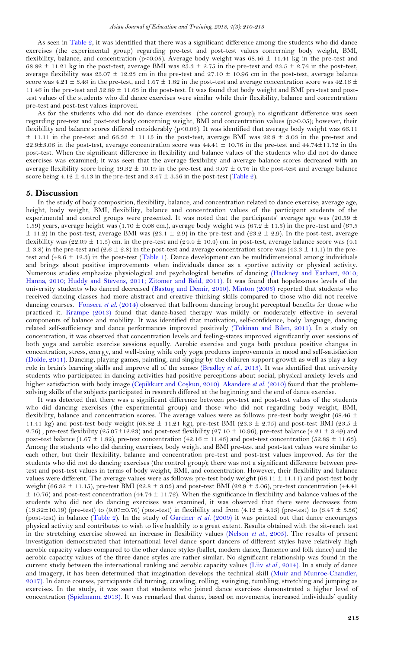As seen in [Table 2,](#page-2-2) it was identified that there was a significant difference among the students who did dance exercises (the experimental group) regarding pre-test and post-test values concerning body weight, BMI, flexibility, balance, and concentration (p<0.05). Average body weight was  $68.46 \pm 11.41$  kg in the pre-test and 68.82  $\pm$  11.21 kg in the post-test, average BMI was 23.3  $\pm$  2.75 in the pre-test and 23.5  $\pm$  2.76 in the post-test, average flexibility was  $25.07 \pm 12.23$  cm in the pre-test and  $27.10 \pm 10.96$  cm in the post-test, average balance score was 4.21  $\pm$  3.49 in the pre-test, and 1.67  $\pm$  1.82 in the post-test and average concentration score was 42.16  $\pm$ 11.46 in the pre-test and 52.89 ± 11.63 in the post-test. It was found that body weight and BMI pre-test and posttest values of the students who did dance exercises were similar while their flexibility, balance and concentration pre-test and post-test values improved.

As for the students who did not do dance exercises (the control group); no significant difference was seen regarding pre-test and post-test body concerning weight, BMI and concentration values (p>0.05); however, their flexibility and balance scores differed considerably (p<0.05). It was identified that average body weight was 66.11  $\pm$  11.11 in the pre-test and 66.32  $\pm$  11.15 in the post-test, average BMI was 22.8  $\pm$  3.03 in the pre-test and 22.9 $\pm$ 3.06 in the post-test, average concentration score was 44.41  $\pm$  10.76 in the pre-test and 44.74 $\pm$ 11.72 in the post-test. When the significant difference in flexibility and balance values of the students who did not do dance exercises was examined; it was seen that the average flexibility and average balance scores decreased with an average flexibility score being  $19.32 \pm 10.19$  in the pre-test and  $9.07 \pm 0.76$  in the post-test and average balance score being 4.12  $\pm$  4.13 in the pre-test and 3.47  $\pm$  3.36 in the post-test [\(Table 2\)](#page-2-2).

### <span id="page-3-0"></span>**5. Discussion**

In the study of body composition, flexibility, balance, and concentration related to dance exercise; average age, height, body weight, BMI, flexibility, balance and concentration values of the participant students of the experimental and control groups were presented. It was noted that the participants' average age was (20.59 ± 1.59) years, average height was (1.70  $\pm$  0.08 cm.), average body weight was (67.2  $\pm$  11.3) in the pre-test and (67.5  $\pm$  11.2) in the post-test, average BMI was (23.1  $\pm$  2.9) in the pre-test and (23.2  $\pm$  2.9). In the post-test, average flexibility was  $(22.09 \pm 11.5)$  cm. in the pre-test and  $(24.4 \pm 10.4)$  cm. in post-test, average balance score was  $(4.1)$  $\pm$  3.8) in the pre-test and (2.6  $\pm$  2.8) in the post-test and average concentration score was (43.3  $\pm$  11.1) in the pretest and  $(48.6 \pm 12.3)$  in the post-test [\(Table 1\)](#page-2-1). Dance development can be multidimensional among individuals and brings about positive improvements when individuals dance as a sportive activity or physical activity. Numerous studies emphasize physiological and psychological benefits of dancing [\(Hackney and Earhart, 2010;](#page-4-11) [Hanna, 2010;](#page-4-12) [Huddy and Stevens, 2011;](#page-5-21) [Zitomer and Reid, 2011\)](#page-5-22). It was found that hopelessness levels of the university students who danced decreased [\(Bastug and Demir, 2010\)](#page-4-13). [Minton \(2003\)](#page-5-23) reported that students who received dancing classes had more abstract and creative thinking skills compared to those who did not receive dancing courses. [Fonseca](#page-4-14) *et al.* (2014) observed that ballroom dancing brought perceptual benefits for those who practiced it. [Krampe \(2013\)](#page-5-24) found that dance-based therapy was mildly or moderately effective in several components of balance and mobility. It was identified that motivation, self-confidence, body language, dancing related self-sufficiency and dance performances improved positively [\(Tokinan and Bilen, 2011\)](#page-5-25). In a study on concentration, it was observed that concentration levels and feeling-states improved significantly over sessions of both yoga and aerobic exercise sessions equally. Aerobic exercise and yoga both produce positive changes in concentration, stress, energy, and well-being while only yoga produces improvements in mood and self-satisfaction [\(Dolde, 2011\)](#page-4-15). Dancing, playing games, painting, and singing by the children support growth as well as play a key role in brain's learning skills and improve all of the senses [\(Bradley](#page-4-16) *et al.*, 2013). It was identified that university students who participated in dancing activities had positive perceptions about social, physical anxiety levels and higher satisfaction with body image [\(Cepikkurt and Co](#page-4-17)şkun, 2010). [Akandere](#page-4-18) et al. (2010) found that the problemsolving skills of the subjects participated in research differed at the beginning and the end of dance exercise.

It was detected that there was a significant difference between pre-test and post-test values of the students who did dancing exercises (the experimental group) and those who did not regarding body weight, BMI, flexibility, balance and concentration scores. The average values were as follows: pre-test body weight (68.46  $\pm$ 11.41 kg) and post-test body weight (68.82  $\pm$  11.21 kg), pre-test BMI (23.3  $\pm$  2.75) and post-test BMI (23.5  $\pm$ 2.76), pre-test flexibility (25.07 $\pm$ 12.23) and post-test flexibility (27.10  $\pm$  10.96), pre-test balance (4.21  $\pm$  3.49) and post-test balance (1.67  $\pm$  1.82), pre-test concentration (42.16  $\pm$  11.46) and post-test concentration (52.89  $\pm$  11.63). Among the students who did dancing exercises, body weight and BMI pre-test and post-test values were similar to each other, but their flexibility, balance and concentration pre-test and post-test values improved. As for the students who did not do dancing exercises (the control group); there was not a significant difference between pretest and post-test values in terms of body weight, BMI, and concentration. However, their flexibility and balance values were different. The average values were as follows: pre-test body weight (66.11  $\pm$  11.11) and post-test body weight (66.32  $\pm$  11.15), pre-test BMI (22.8  $\pm$  3.03) and post-test BMI (22.9  $\pm$  3.06), pre-test concentration (44.41)  $\pm$  10.76) and post-test concentration (44.74  $\pm$  11.72). When the significance in flexibility and balance values of the students who did not do dancing exercises was examined, it was observed that there were decreases from  $(19.32 \pm 10.19)$  (pre-test) to  $(9.07 \pm 0.76)$  (post-test) in flexibility and from  $(4.12 \pm 4.13)$  (pre-test) to  $(3.47 \pm 3.36)$ (post-test) in balance [\(Table 2\)](#page-2-2). In the study of [Gardner](#page-4-19) *et al.* (2009) it was pointed out that dance encourages physical activity and contributes to wish to live healthily to a great extent. Results obtained with the sit-reach test in the stretching exercise showed an increase in flexibility values [\(Nelson](#page-5-26) *et al.*, 2005). The results of present investigation demonstrated that international level dance sport dancers of different styles have relatively high aerobic capacity values compared to the other dance styles (ballet, modern dance, flamenco and folk dance) and the aerobic capacity values of the three dance styles are rather similar. No significant relationship was found in the current study between the international ranking and aerobic capacity values (Liiv *et al.*[, 2014\)](#page-5-27). In a study of dance and imagery, it has been determined that imagination develops the technical skill [\(Muir and Munroe-Chandler,](#page-5-28)  [2017\)](#page-5-28). In dance courses, participants did turning, crawling, rolling, swinging, tumbling, stretching and jumping as exercises. In the study, it was seen that students who joined dance exercises demonstrated a higher level of concentration [\(Spielmann, 2013\)](#page-5-29). It was remarked that dance, based on movements, increased individuals' quality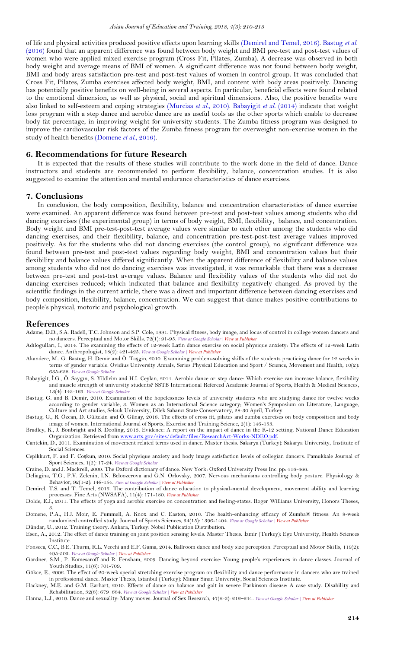of life and physical activities produced positive effects upon learning skills [\(Demirel and Temel, 2016\)](#page-4-20). [Bastug](#page-4-21) *et al.* [\(2016\)](#page-4-21) found that an apparent difference was found between body weight and BMI pre-test and post-test values of women who were applied mixed exercise program (Cross Fit, Pilates, Zumba). A decrease was observed in both body weight and average means of BMI of women. A significant difference was not found between body weight, BMI and body areas satisfaction pre-test and post-test values of women in control group. It was concluded that Cross Fit, Pilates, Zumba exercises affected body weight, BMI, and content with body areas positively. Dancing has potentially positive benefits on well-being in several aspects. In particular, beneficial effects were found related to the emotional dimension, as well as physical, social and spiritual dimensions. Also, the positive benefits were also linked to self-esteem and coping strategies [\(Murciaa](#page-5-4) *et al.*, 2010). [Babayigit](#page-4-22) *et al.* (2014) indicate that weight loss program with a step dance and aerobic dance are as useful tools as the other sports which enable to decrease body fat percentage, in improving weight for university students. The Zumba fitness program was designed to improve the cardiovascular risk factors of the Zumba fitness program for overweight non-exercise women in the study of health benefits [\(Domene](#page-4-23) *et al.*, 2016).

### <span id="page-4-0"></span>**6. Recommendations for future Research**

It is expected that the results of these studies will contribute to the work done in the field of dance. Dance instructors and students are recommended to perform flexibility, balance, concentration studies. It is also suggested to examine the attention and mental endurance characteristics of dance exercises.

### <span id="page-4-1"></span>**7. Conclusions**

In conclusion, the body composition, flexibility, balance and concentration characteristics of dance exercise were examined. An apparent difference was found between pre-test and post-test values among students who did dancing exercises (the experimental group) in terms of body weight, BMI, flexibility, balance, and concentration. Body weight and BMI pre-test-post-test average values were similar to each other among the students who did dancing exercises, and their flexibility, balance, and concentration pre-test-post-test average values improved positively. As for the students who did not dancing exercises (the control group), no significant difference was found between pre-test and post-test values regarding body weight, BMI and concentration values but their flexibility and balance values differed significantly. When the apparent difference of flexibility and balance values among students who did not do dancing exercises was investigated, it was remarkable that there was a decrease between pre-test and post-test average values. Balance and flexibility values of the students who did not do dancing exercises reduced; which indicated that balance and flexibility negatively changed. As proved by the scientific findings in the current article, there was a direct and important difference between dancing exercises and body composition, flexibility, balance, concentration. We can suggest that dance makes positive contributions to people's physical, motoric and psychological growth.

#### <span id="page-4-2"></span>**References**

- <span id="page-4-5"></span>Adame, D.D., S.A. Radell, T.C. Johnson and S.P. Cole, 1991. Physical fitness, body image, and locus of control in college women dancers and no dancers. Perceptual and Motor Skills, 72(1): 91-95. *View at Google [Scholar](https://scholar.google.com/scholar?hl=en&q=Physical%20fitness,%20body%20image,%20and%20locus%20of%20control%20in%20college%20women%20dancers%20and%20no%20dancers) | View at [Publisher](http://dx.doi.org/10.2466/pms.72.1.91-95)*
- <span id="page-4-9"></span>Adılogulları, I., 2014. The examining the effects of 12-week Latin dance exercise on social physique anxiety: The effects of 12-week Latin dance. Anthropologist, 18(2): 421-425. *View at Google [Scholar](https://scholar.google.com/scholar?hl=en&q=The%20examining%20the%20effects%20of%2012-week%20Latin%20dance%20exercise%20on%20social%20physique%20anxiety:%20The%20effects%20of%2012-week%20Latin%20dance) | View at [Publisher](http://dx.doi.org/10.1080/09720073.2014.11891560)*
- <span id="page-4-18"></span>Akandere, M., G. Bastug, H. Demir and Ö. Taşgin, 2010. Examining problem-solving skills of the students practicing dance for 12 weeks in terms of gender variable. Ovidius University Annals, Series Physical Education and Sport / Scıence, Movement and Health, 10(2): 635-638. *View at Google [Scholar](https://scholar.google.com/scholar?hl=en&q=Examining%20problem-solving%20skills%20of%20the%20students%20practicing%20dance%20for%2012%20weeks%20in%20terms%20of%20gender%20variable)*
- <span id="page-4-22"></span>Babayigit, İ.G., Ö. Saygın, S. Yildirim and H.I. Ceylan, 2014. Aerobic dance or step dance: Which exercise can increase balance, flexibility and muscle strength of university students? SSTB International Refereed Academic Journal of Sports, Health & Medical Sciences, 13(4): 143-163. *View at Google [Scholar](https://scholar.google.com/scholar?hl=en&q=Aerobic%20dance%20or%20step%20dance:%20Which%20exercise%20can%20increase%20balance,%20flexibility%20and%20muscle%20strength%20of%20university%20students?)*
- <span id="page-4-13"></span>Bastug, G. and B. Demir, 2010. Examination of the hopelessness levels of university students who are studying dance for twelve weeks according to gender variable, 3. Women as an International Science category; Women's Symposium on Literature, Language, Culture and Art studies, Selcuk University, Dilek Sabancı State Conservatory, 28-30 April, Turkey.
- <span id="page-4-21"></span>Bastug, G., R. Özcan, D. Gültekin and Ö. Günay, 2016. The effects of cross fit, pilates and zumba exercises on body composition and body ımage of women. International Journal of Sports, Exercise and Training Science, 2(1): 146-153.
- <span id="page-4-16"></span>Bradley, K., J. Bonbright and S. Dooling, 2013. Evidence: A report on the impact of dance in the K-12 setting. National Dance Education Organization. Retrieved from [www.arts.gov/sites/default/files/ResearchArt-Works-NDEO.pdf.](http://www.arts.gov/sites/default/files/ResearchArt-Works-NDEO.pdf) Cantekin, D., 2011. Examination of movement related terms used in dance. Master thesis. Sakarya (Turkey): Sakarya University, Institute of
- <span id="page-4-17"></span><span id="page-4-3"></span>Social Sciences. Cepikkurt, F. and F. Coşkun, 2010. Social physique anxiety and body image satisfaction levels of collegian dancers. Pamukkale Journal of Sport Sciences, 1(2): 17-24. *View at Google [Scholar](https://scholar.google.com/scholar?hl=en&q=Social%20physique%20anxiety%20and%20body%20image%20satisfaction%20levels%20of%20collegian%20dancers)*
- <span id="page-4-10"></span>Craine, D. and J. Mackrell, 2000. The Oxford dictionary of dance. New York: Oxford University Press Inc. pp: 416-466.
- <span id="page-4-7"></span>Deliagina, T.G., P.V. Zelenin, I.N. Beloozerova and G.N. Orlovsky, 2007. Nervous mechanisms controlling body posture. Physiology & Behavior, 92(1-2): 148-154. *View at Google [Scholar](https://scholar.google.com/scholar?hl=en&q=Nervous%20mechanisms%20controlling%20body%20posture) | View at [Publisher](http://dx.doi.org/10.1016/j.physbeh.2007.05.023)*
- <span id="page-4-20"></span>Demirel, T.S. and T. Temel, 2016. The contribution of dance education to physical-mental development, movement ability and learning processes. Fine Arts (NWSAFA), 11(4): 171-180. *View at [Publisher](http://dx.doi.org/10.12739/nwsa.2016.11.4.d0182)*
- <span id="page-4-15"></span>Dolde, E.J., 2011. The effects of yoga and aerobic exercise on concentration and feeling-states. Roger Williams University, Honors Theses, 3.
- <span id="page-4-23"></span>Domene, P.A., H.J. Moir, E. Pummell, A. Knox and C. Easton, 2016. The health-enhancing efficacy of Zumba® fitness: An 8-week randomized controlled study. Journal of Sports Sciences, 34(15): 1396-1404. *View at Google [Scholar](https://scholar.google.com/scholar?hl=en&q=The%20health-enhancing%20efficacy%20of%20Zumba®%20fitness:%20An%208-week%20randomized%20controlled%20study) | View at [Publisher](http://dx.doi.org/10.1080/02640414.2015.1112022)* Dündar, U., 2012. Training theory. Ankara, Turkey: Nobel Publication Distribution.

<span id="page-4-6"></span><span id="page-4-4"></span>Esen, A., 2012. The effect of dance training on joint position sensing levels. Master Thesıs. İzmir (Turkey): Ege University, Health Sciences Institute.

- <span id="page-4-14"></span>Fonseca, C.C., B.E. Thurm, R.L. Vecchi and E.F. Gama, 2014. Ballroom dance and body size perception. Perceptual and Motor Skills, 119(2): 495-503. *View at Google [Scholar](https://scholar.google.com/scholar?hl=en&q=Ballroom%20dance%20and%20body%20size%20perception) | View at [Publisher](http://dx.doi.org/10.2466/25.pms.119c26z1)*
- <span id="page-4-19"></span>Gardner, S.M., P. Komesaroff and R. Fensham, 2009. Dancing beyond exercise: Young people's experiences in dance classes. Journal of Youth Studies, 11(6): 701-709.
- <span id="page-4-8"></span>Gökce, E., 2006. The effect of 20-week special stretching exercise program on flexibility and dance performance in dancers who are trained in professional dance. Master Thesis, Istanbul (Turkey): Mimar Sinan University, Social Sciences Institute.
- <span id="page-4-11"></span>Hackney, M.E. and G.M. Earhart, 2010. Effects of dance on balance and gait in severe Parkinson disease: A case study. Disability and Rehabilitation, 32(8): 679–684. *View at Google [Scholar](https://scholar.google.com/scholar?hl=en&q=Effects%20of%20dance%20on%20balance%20and%20gait%20in%20severe%20Parkinson%20disease:%20A%20case%20study) | View at [Publisher](http://dx.doi.org/10.3109/09638280903247905)*
- <span id="page-4-12"></span>Hanna, L.J., 2010. Dance and sexuality: Many moves. Journal of Sex Research, 47(2-3): 212–241. *View at Google [Scholar](https://scholar.google.com/scholar?hl=en&q=Dance%20and%20sexuality:%20Many%20moves) | View at [Publisher](http://dx.doi.org/10.1080/00224491003599744)*